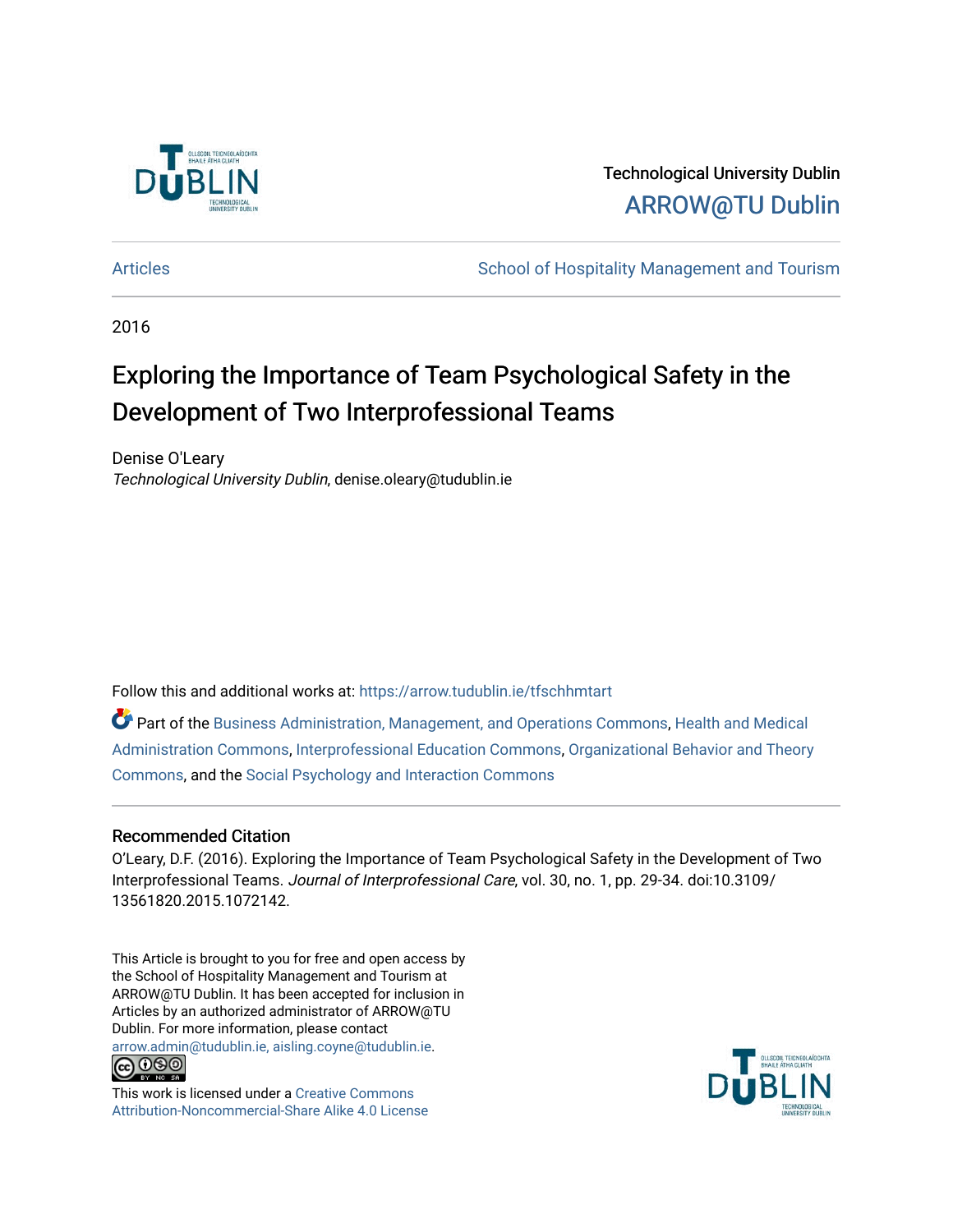

Technological University Dublin [ARROW@TU Dublin](https://arrow.tudublin.ie/) 

[Articles](https://arrow.tudublin.ie/tfschhmtart) **School of Hospitality Management and Tourism** School of Hospitality Management and Tourism

2016

# Exploring the Importance of Team Psychological Safety in the Development of Two Interprofessional Teams

Denise O'Leary Technological University Dublin, denise.oleary@tudublin.ie

Follow this and additional works at: [https://arrow.tudublin.ie/tfschhmtart](https://arrow.tudublin.ie/tfschhmtart?utm_source=arrow.tudublin.ie%2Ftfschhmtart%2F73&utm_medium=PDF&utm_campaign=PDFCoverPages) 

Part of the [Business Administration, Management, and Operations Commons](http://network.bepress.com/hgg/discipline/623?utm_source=arrow.tudublin.ie%2Ftfschhmtart%2F73&utm_medium=PDF&utm_campaign=PDFCoverPages), [Health and Medical](http://network.bepress.com/hgg/discipline/663?utm_source=arrow.tudublin.ie%2Ftfschhmtart%2F73&utm_medium=PDF&utm_campaign=PDFCoverPages)  [Administration Commons,](http://network.bepress.com/hgg/discipline/663?utm_source=arrow.tudublin.ie%2Ftfschhmtart%2F73&utm_medium=PDF&utm_campaign=PDFCoverPages) [Interprofessional Education Commons,](http://network.bepress.com/hgg/discipline/1372?utm_source=arrow.tudublin.ie%2Ftfschhmtart%2F73&utm_medium=PDF&utm_campaign=PDFCoverPages) [Organizational Behavior and Theory](http://network.bepress.com/hgg/discipline/639?utm_source=arrow.tudublin.ie%2Ftfschhmtart%2F73&utm_medium=PDF&utm_campaign=PDFCoverPages) [Commons](http://network.bepress.com/hgg/discipline/639?utm_source=arrow.tudublin.ie%2Ftfschhmtart%2F73&utm_medium=PDF&utm_campaign=PDFCoverPages), and the [Social Psychology and Interaction Commons](http://network.bepress.com/hgg/discipline/430?utm_source=arrow.tudublin.ie%2Ftfschhmtart%2F73&utm_medium=PDF&utm_campaign=PDFCoverPages) 

# Recommended Citation

O'Leary, D.F. (2016). Exploring the Importance of Team Psychological Safety in the Development of Two Interprofessional Teams. Journal of Interprofessional Care, vol. 30, no. 1, pp. 29-34. doi:10.3109/ 13561820.2015.1072142.

This Article is brought to you for free and open access by the School of Hospitality Management and Tourism at ARROW@TU Dublin. It has been accepted for inclusion in Articles by an authorized administrator of ARROW@TU Dublin. For more information, please contact [arrow.admin@tudublin.ie, aisling.coyne@tudublin.ie](mailto:arrow.admin@tudublin.ie,%20aisling.coyne@tudublin.ie).



This work is licensed under a [Creative Commons](http://creativecommons.org/licenses/by-nc-sa/4.0/) [Attribution-Noncommercial-Share Alike 4.0 License](http://creativecommons.org/licenses/by-nc-sa/4.0/)

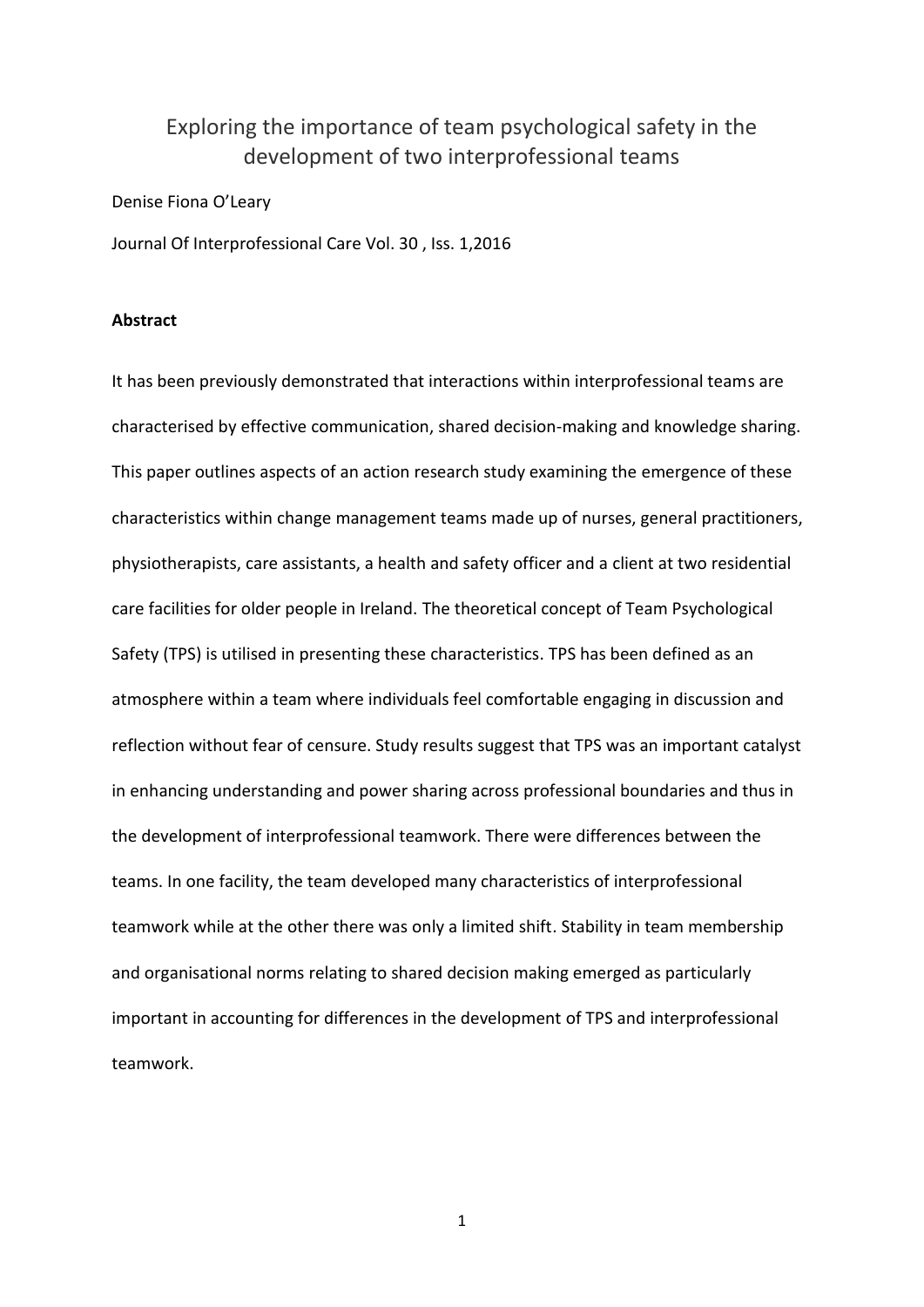# Exploring the importance of team psychological safety in the development of two interprofessional teams

Denise Fiona O'Leary

[Journal Of Interprofessional Care](http://www.tandfonline.com/toc/ijic20/30/1) Vol. 30 , Iss. 1,2016

# **Abstract**

It has been previously demonstrated that interactions within interprofessional teams are characterised by effective communication, shared decision-making and knowledge sharing. This paper outlines aspects of an action research study examining the emergence of these characteristics within change management teams made up of nurses, general practitioners, physiotherapists, care assistants, a health and safety officer and a client at two residential care facilities for older people in Ireland. The theoretical concept of Team Psychological Safety (TPS) is utilised in presenting these characteristics. TPS has been defined as an atmosphere within a team where individuals feel comfortable engaging in discussion and reflection without fear of censure. Study results suggest that TPS was an important catalyst in enhancing understanding and power sharing across professional boundaries and thus in the development of interprofessional teamwork. There were differences between the teams. In one facility, the team developed many characteristics of interprofessional teamwork while at the other there was only a limited shift. Stability in team membership and organisational norms relating to shared decision making emerged as particularly important in accounting for differences in the development of TPS and interprofessional teamwork.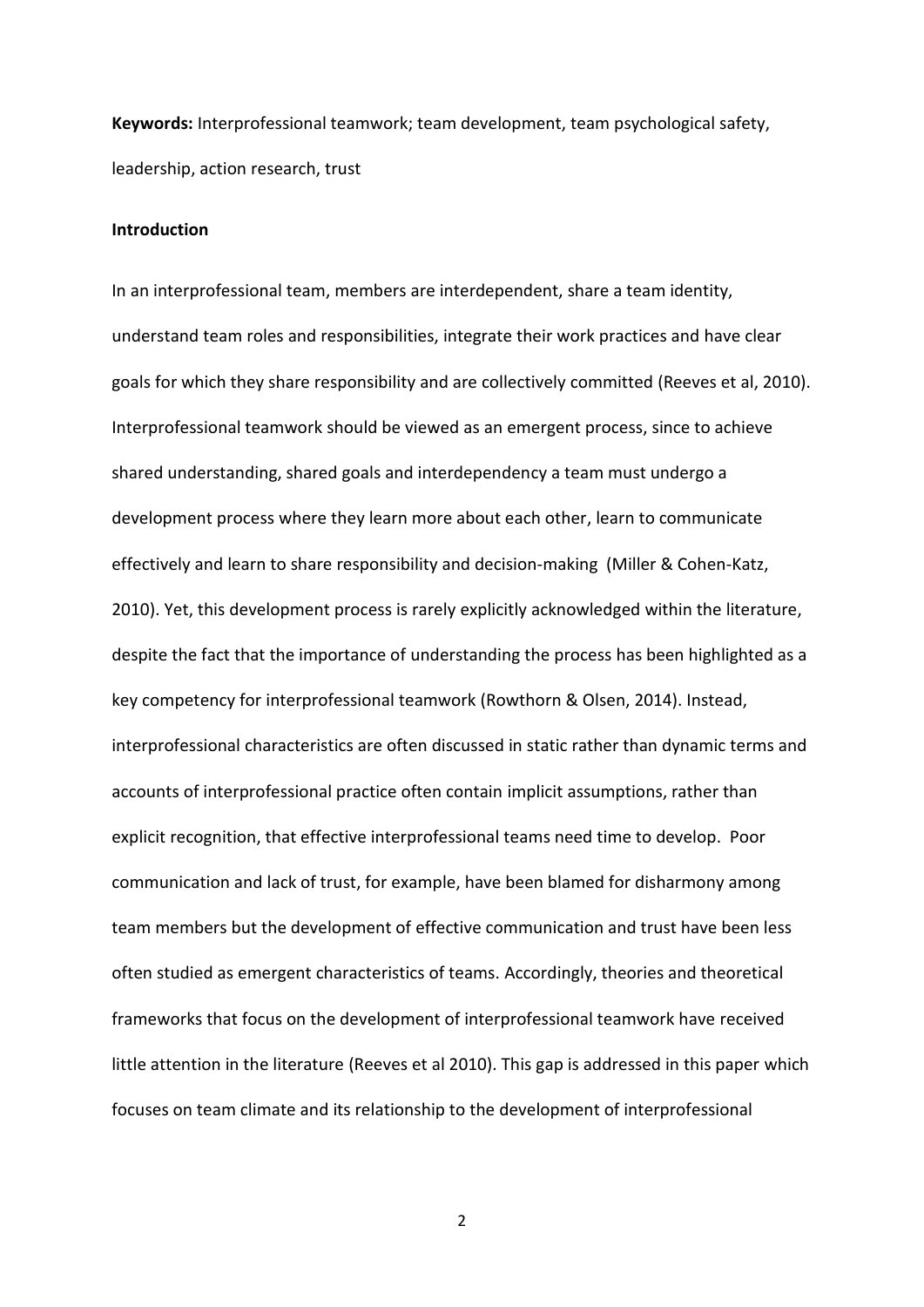**Keywords:** Interprofessional teamwork; team development, team psychological safety, leadership, action research, trust

# **Introduction**

In an interprofessional team, members are interdependent, share a team identity, understand team roles and responsibilities, integrate their work practices and have clear goals for which they share responsibility and are collectively committed (Reeves et al, 2010). Interprofessional teamwork should be viewed as an emergent process, since to achieve shared understanding, shared goals and interdependency a team must undergo a development process where they learn more about each other, learn to communicate effectively and learn to share responsibility and decision-making (Miller & Cohen-Katz, 2010). Yet, this development process is rarely explicitly acknowledged within the literature, despite the fact that the importance of understanding the process has been highlighted as a key competency for interprofessional teamwork (Rowthorn & Olsen, 2014). Instead, interprofessional characteristics are often discussed in static rather than dynamic terms and accounts of interprofessional practice often contain implicit assumptions, rather than explicit recognition, that effective interprofessional teams need time to develop. Poor communication and lack of trust, for example, have been blamed for disharmony among team members but the development of effective communication and trust have been less often studied as emergent characteristics of teams. Accordingly, theories and theoretical frameworks that focus on the development of interprofessional teamwork have received little attention in the literature (Reeves et al 2010). This gap is addressed in this paper which focuses on team climate and its relationship to the development of interprofessional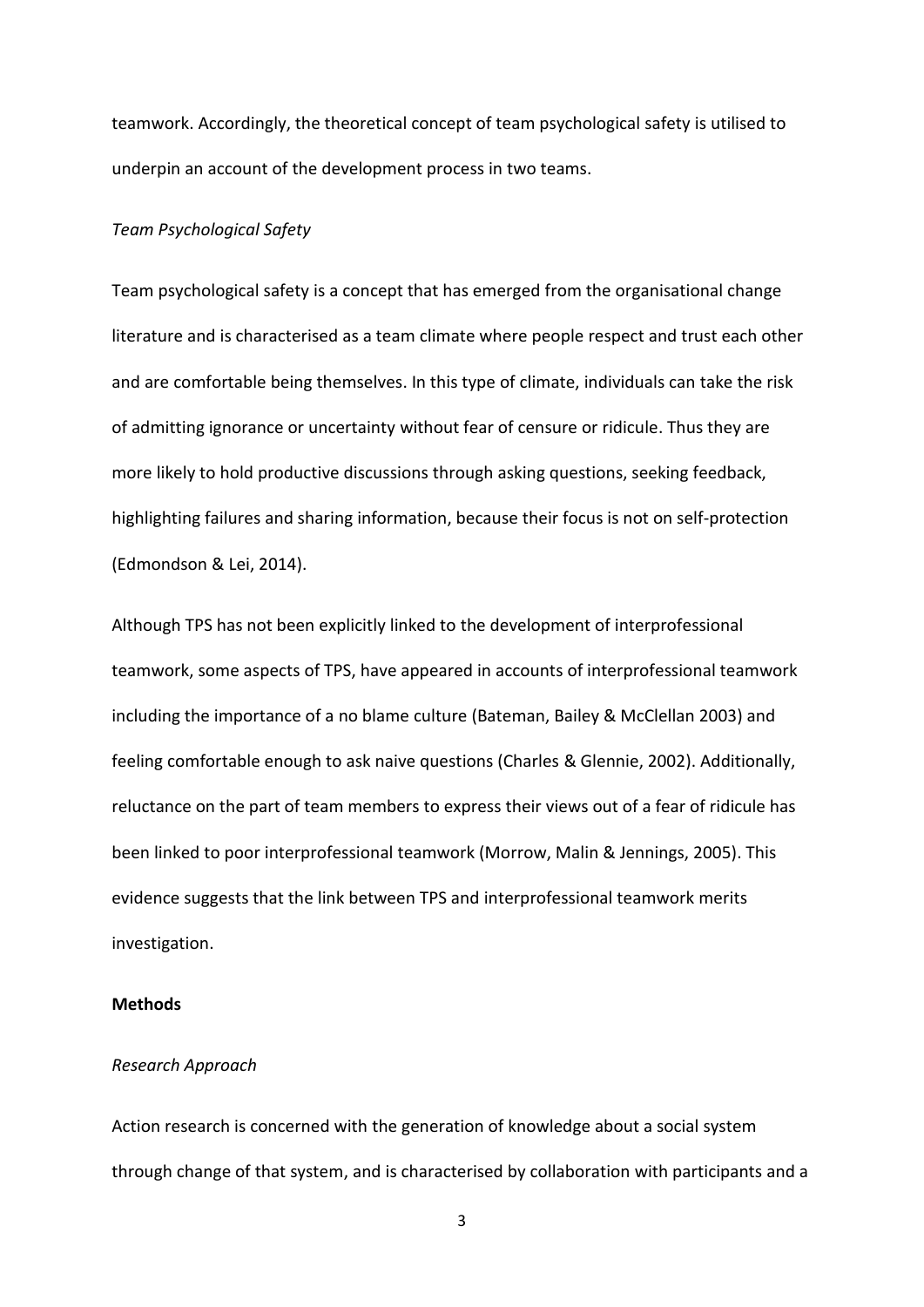teamwork. Accordingly, the theoretical concept of team psychological safety is utilised to underpin an account of the development process in two teams.

# *Team Psychological Safety*

Team psychological safety is a concept that has emerged from the organisational change literature and is characterised as a team climate where people respect and trust each other and are comfortable being themselves. In this type of climate, individuals can take the risk of admitting ignorance or uncertainty without fear of censure or ridicule. Thus they are more likely to hold productive discussions through asking questions, seeking feedback, highlighting failures and sharing information, because their focus is not on self-protection (Edmondson & Lei, 2014).

Although TPS has not been explicitly linked to the development of interprofessional teamwork, some aspects of TPS, have appeared in accounts of interprofessional teamwork including the importance of a no blame culture (Bateman, Bailey & McClellan 2003) and feeling comfortable enough to ask naive questions (Charles & Glennie, 2002). Additionally, reluctance on the part of team members to express their views out of a fear of ridicule has been linked to poor interprofessional teamwork (Morrow, Malin & Jennings, 2005). This evidence suggests that the link between TPS and interprofessional teamwork merits investigation.

# **Methods**

# *Research Approach*

Action research is concerned with the generation of knowledge about a social system through change of that system, and is characterised by collaboration with participants and a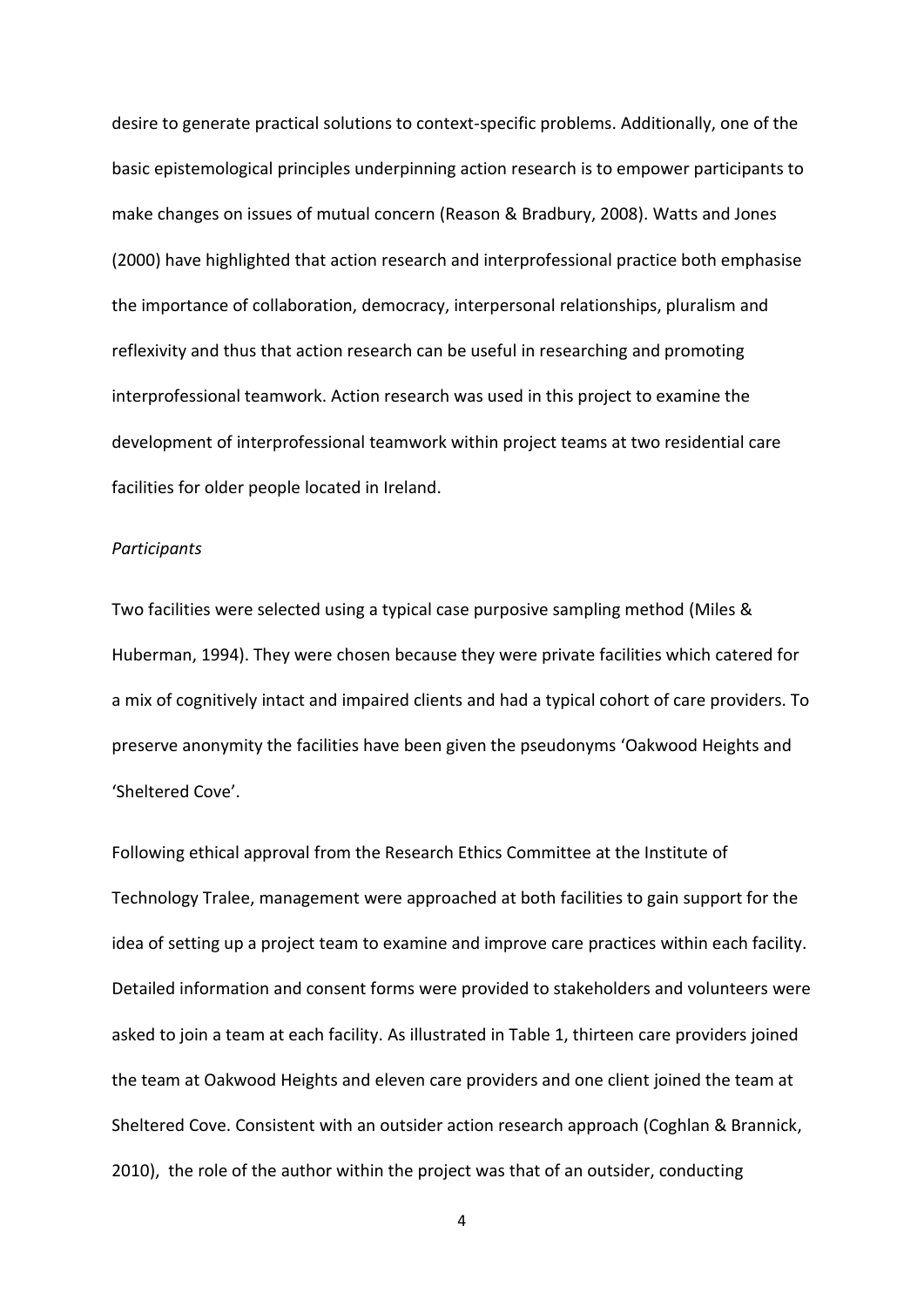desire to generate practical solutions to context-specific problems. Additionally, one of the basic epistemological principles underpinning action research is to empower participants to make changes on issues of mutual concern (Reason & Bradbury, 2008). Watts and Jones (2000) have highlighted that action research and interprofessional practice both emphasise the importance of collaboration, democracy, interpersonal relationships, pluralism and reflexivity and thus that action research can be useful in researching and promoting interprofessional teamwork. Action research was used in this project to examine the development of interprofessional teamwork within project teams at two residential care facilities for older people located in Ireland.

# *Participants*

Two facilities were selected using a typical case purposive sampling method (Miles & Huberman, 1994). They were chosen because they were private facilities which catered for a mix of cognitively intact and impaired clients and had a typical cohort of care providers. To preserve anonymity the facilities have been given the pseudonyms 'Oakwood Heights and 'Sheltered Cove'.

Following ethical approval from the Research Ethics Committee at the Institute of Technology Tralee, management were approached at both facilities to gain support for the idea of setting up a project team to examine and improve care practices within each facility. Detailed information and consent forms were provided to stakeholders and volunteers were asked to join a team at each facility. As illustrated in Table 1, thirteen care providers joined the team at Oakwood Heights and eleven care providers and one client joined the team at Sheltered Cove. Consistent with an outsider action research approach (Coghlan & Brannick, 2010), the role of the author within the project was that of an outsider, conducting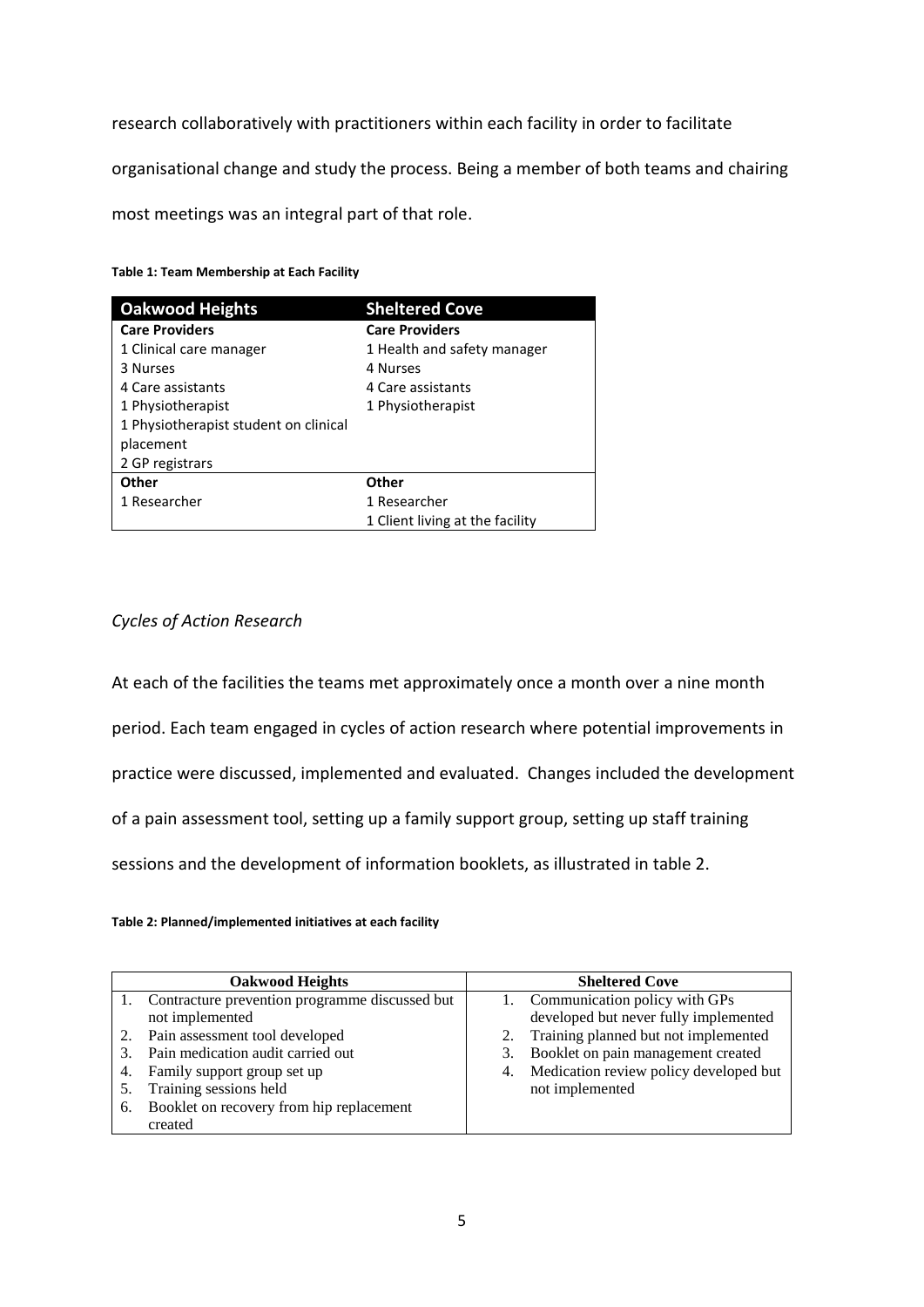research collaboratively with practitioners within each facility in order to facilitate organisational change and study the process. Being a member of both teams and chairing most meetings was an integral part of that role.

**Table 1: Team Membership at Each Facility**

| <b>Oakwood Heights</b>                | <b>Sheltered Cove</b>           |  |
|---------------------------------------|---------------------------------|--|
| <b>Care Providers</b>                 | <b>Care Providers</b>           |  |
| 1 Clinical care manager               | 1 Health and safety manager     |  |
| 3 Nurses                              | 4 Nurses                        |  |
| 4 Care assistants                     | 4 Care assistants               |  |
| 1 Physiotherapist                     | 1 Physiotherapist               |  |
| 1 Physiotherapist student on clinical |                                 |  |
| placement                             |                                 |  |
| 2 GP registrars                       |                                 |  |
| Other                                 | Other                           |  |
| 1 Researcher                          | 1 Researcher                    |  |
|                                       | 1 Client living at the facility |  |

# *Cycles of Action Research*

At each of the facilities the teams met approximately once a month over a nine month period. Each team engaged in cycles of action research where potential improvements in practice were discussed, implemented and evaluated. Changes included the development of a pain assessment tool, setting up a family support group, setting up staff training sessions and the development of information booklets, as illustrated in table 2.

# **Table 2: Planned/implemented initiatives at each facility**

| <b>Oakwood Heights</b> |                                                | <b>Sheltered Cove</b> |                                           |
|------------------------|------------------------------------------------|-----------------------|-------------------------------------------|
|                        | Contracture prevention programme discussed but |                       | 1. Communication policy with GPs          |
|                        | not implemented                                |                       | developed but never fully implemented     |
|                        | Pain assessment tool developed                 |                       | 2. Training planned but not implemented   |
|                        | Pain medication audit carried out              |                       | 3. Booklet on pain management created     |
| 4.                     | Family support group set up                    |                       | 4. Medication review policy developed but |
|                        | Training sessions held                         |                       | not implemented                           |
| 6.                     | Booklet on recovery from hip replacement       |                       |                                           |
|                        | created                                        |                       |                                           |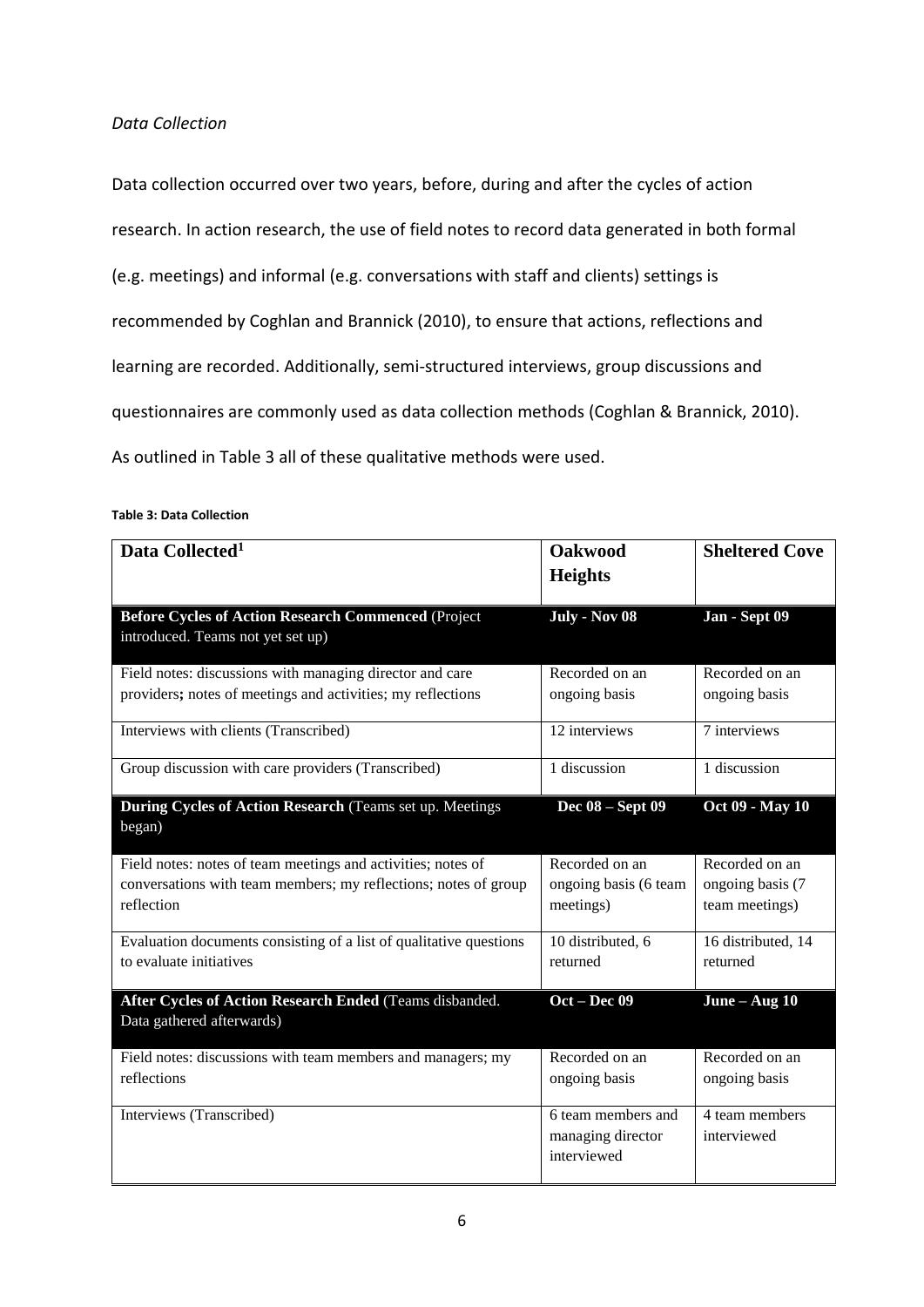# *Data Collection*

Data collection occurred over two years, before, during and after the cycles of action research. In action research, the use of field notes to record data generated in both formal (e.g. meetings) and informal (e.g. conversations with staff and clients) settings is recommended by Coghlan and Brannick (2010), to ensure that actions, reflections and learning are recorded. Additionally, semi-structured interviews, group discussions and questionnaires are commonly used as data collection methods (Coghlan & Brannick, 2010). As outlined in Table 3 all of these qualitative methods were used.

#### **Data Collected<sup>1</sup> Oakwood Heights Sheltered Cove Before Cycles of Action Research Commenced** (Project introduced. Teams not yet set up) **July - Nov 08 Jan - Sept 09** Field notes: discussions with managing director and care providers**;** notes of meetings and activities; my reflections Recorded on an ongoing basis Recorded on an ongoing basis Interviews with clients (Transcribed) 12 interviews 7 interviews Group discussion with care providers (Transcribed) 1 discussion 1 discussion **During Cycles of Action Research** (Teams set up. Meetings began)  **Dec 08 – Sept 09 Oct 09 - May 10** Field notes: notes of team meetings and activities; notes of conversations with team members; my reflections; notes of group reflection Recorded on an ongoing basis (6 team meetings) Recorded on an ongoing basis (7 team meetings) Evaluation documents consisting of a list of qualitative questions to evaluate initiatives 10 distributed, 6 returned 16 distributed, 14 returned **After Cycles of Action Research Ended** (Teams disbanded. Data gathered afterwards) **Oct – Dec 09 June – Aug 10** Field notes: discussions with team members and managers; my reflections Recorded on an ongoing basis Recorded on an ongoing basis Interviews (Transcribed) 6 team members and managing director interviewed 4 team members interviewed

#### **Table 3: Data Collection**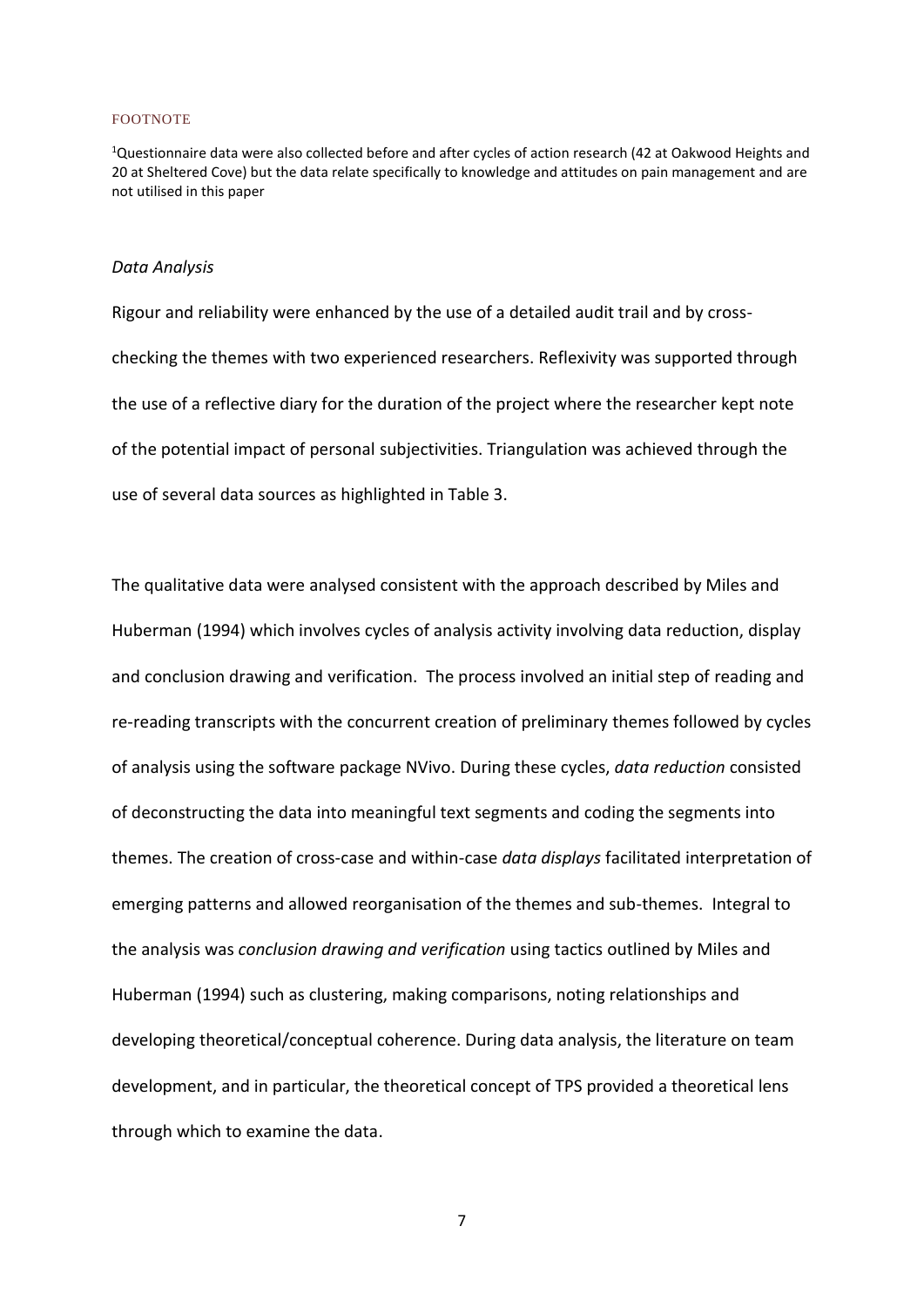#### FOOTNOTE

<sup>1</sup>Questionnaire data were also collected before and after cycles of action research (42 at Oakwood Heights and 20 at Sheltered Cove) but the data relate specifically to knowledge and attitudes on pain management and are not utilised in this paper

#### *Data Analysis*

Rigour and reliability were enhanced by the use of a detailed audit trail and by crosschecking the themes with two experienced researchers. Reflexivity was supported through the use of a reflective diary for the duration of the project where the researcher kept note of the potential impact of personal subjectivities. Triangulation was achieved through the use of several data sources as highlighted in Table 3.

The qualitative data were analysed consistent with the approach described by Miles and Huberman (1994) which involves cycles of analysis activity involving data reduction, display and conclusion drawing and verification. The process involved an initial step of reading and re-reading transcripts with the concurrent creation of preliminary themes followed by cycles of analysis using the software package NVivo. During these cycles, *data reduction* consisted of deconstructing the data into meaningful text segments and coding the segments into themes. The creation of cross-case and within-case *data displays* facilitated interpretation of emerging patterns and allowed reorganisation of the themes and sub-themes. Integral to the analysis was *conclusion drawing and verification* using tactics outlined by Miles and Huberman (1994) such as clustering, making comparisons, noting relationships and developing theoretical/conceptual coherence. During data analysis, the literature on team development, and in particular, the theoretical concept of TPS provided a theoretical lens through which to examine the data.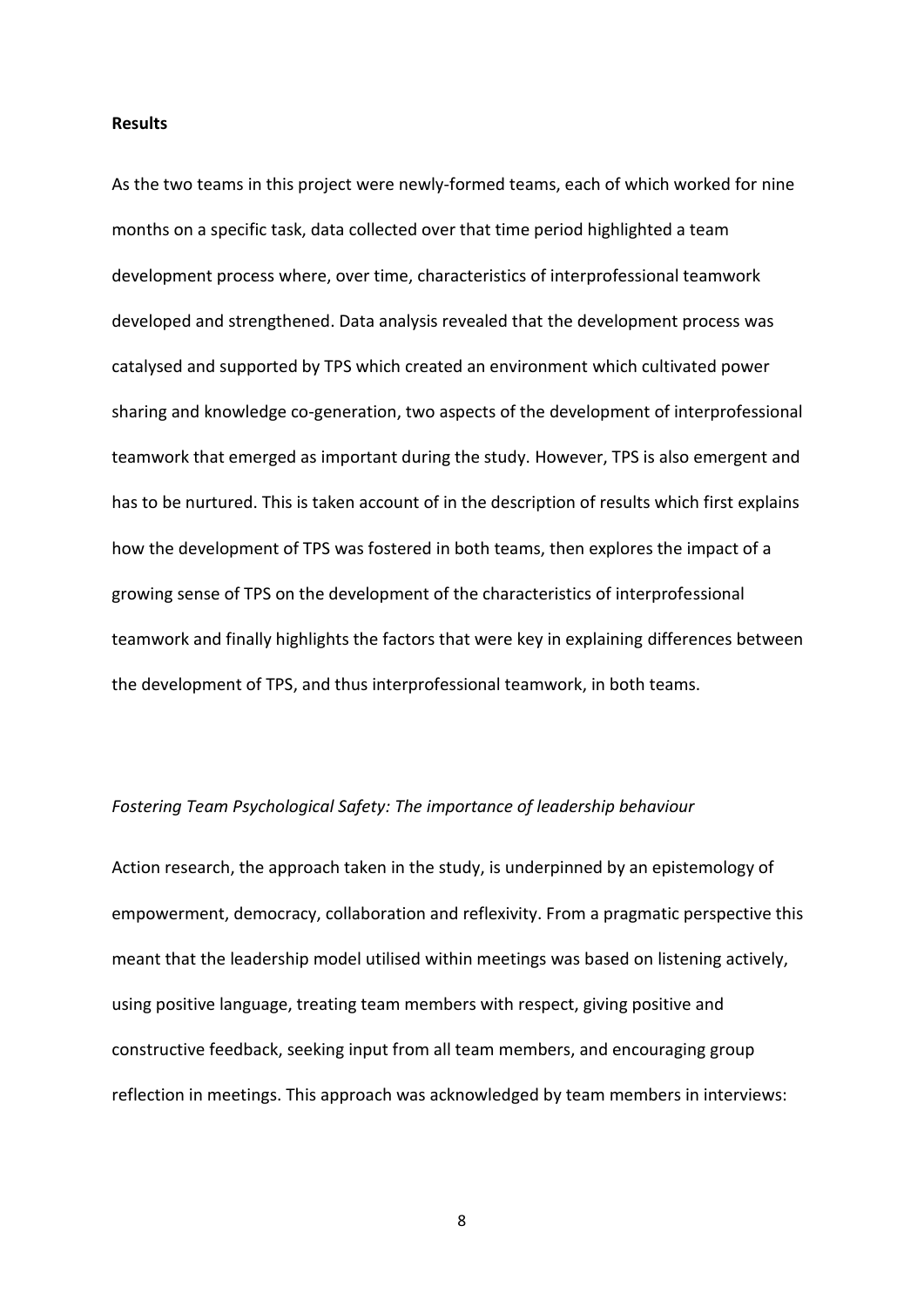#### **Results**

As the two teams in this project were newly-formed teams, each of which worked for nine months on a specific task, data collected over that time period highlighted a team development process where, over time, characteristics of interprofessional teamwork developed and strengthened. Data analysis revealed that the development process was catalysed and supported by TPS which created an environment which cultivated power sharing and knowledge co-generation, two aspects of the development of interprofessional teamwork that emerged as important during the study. However, TPS is also emergent and has to be nurtured. This is taken account of in the description of results which first explains how the development of TPS was fostered in both teams, then explores the impact of a growing sense of TPS on the development of the characteristics of interprofessional teamwork and finally highlights the factors that were key in explaining differences between the development of TPS, and thus interprofessional teamwork, in both teams.

# *Fostering Team Psychological Safety: The importance of leadership behaviour*

Action research, the approach taken in the study, is underpinned by an epistemology of empowerment, democracy, collaboration and reflexivity. From a pragmatic perspective this meant that the leadership model utilised within meetings was based on listening actively, using positive language, treating team members with respect, giving positive and constructive feedback, seeking input from all team members, and encouraging group reflection in meetings. This approach was acknowledged by team members in interviews: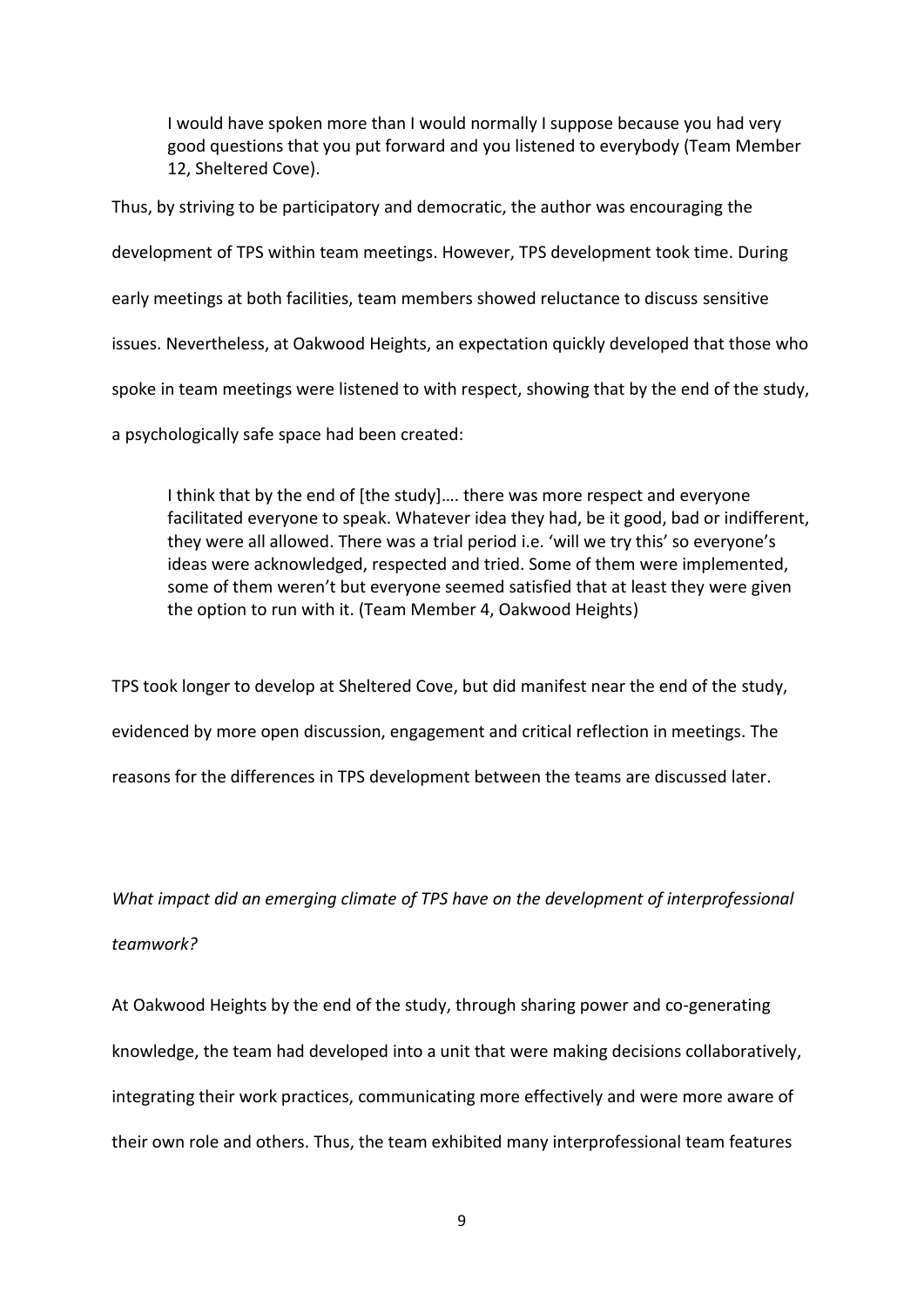I would have spoken more than I would normally I suppose because you had very good questions that you put forward and you listened to everybody (Team Member 12, Sheltered Cove).

Thus, by striving to be participatory and democratic, the author was encouraging the development of TPS within team meetings. However, TPS development took time. During early meetings at both facilities, team members showed reluctance to discuss sensitive issues. Nevertheless, at Oakwood Heights, an expectation quickly developed that those who spoke in team meetings were listened to with respect, showing that by the end of the study, a psychologically safe space had been created:

I think that by the end of [the study]…. there was more respect and everyone facilitated everyone to speak. Whatever idea they had, be it good, bad or indifferent, they were all allowed. There was a trial period i.e. 'will we try this' so everyone's ideas were acknowledged, respected and tried. Some of them were implemented, some of them weren't but everyone seemed satisfied that at least they were given the option to run with it. (Team Member 4, Oakwood Heights)

TPS took longer to develop at Sheltered Cove, but did manifest near the end of the study, evidenced by more open discussion, engagement and critical reflection in meetings. The reasons for the differences in TPS development between the teams are discussed later.

*What impact did an emerging climate of TPS have on the development of interprofessional teamwork?*

At Oakwood Heights by the end of the study, through sharing power and co-generating knowledge, the team had developed into a unit that were making decisions collaboratively, integrating their work practices, communicating more effectively and were more aware of their own role and others. Thus, the team exhibited many interprofessional team features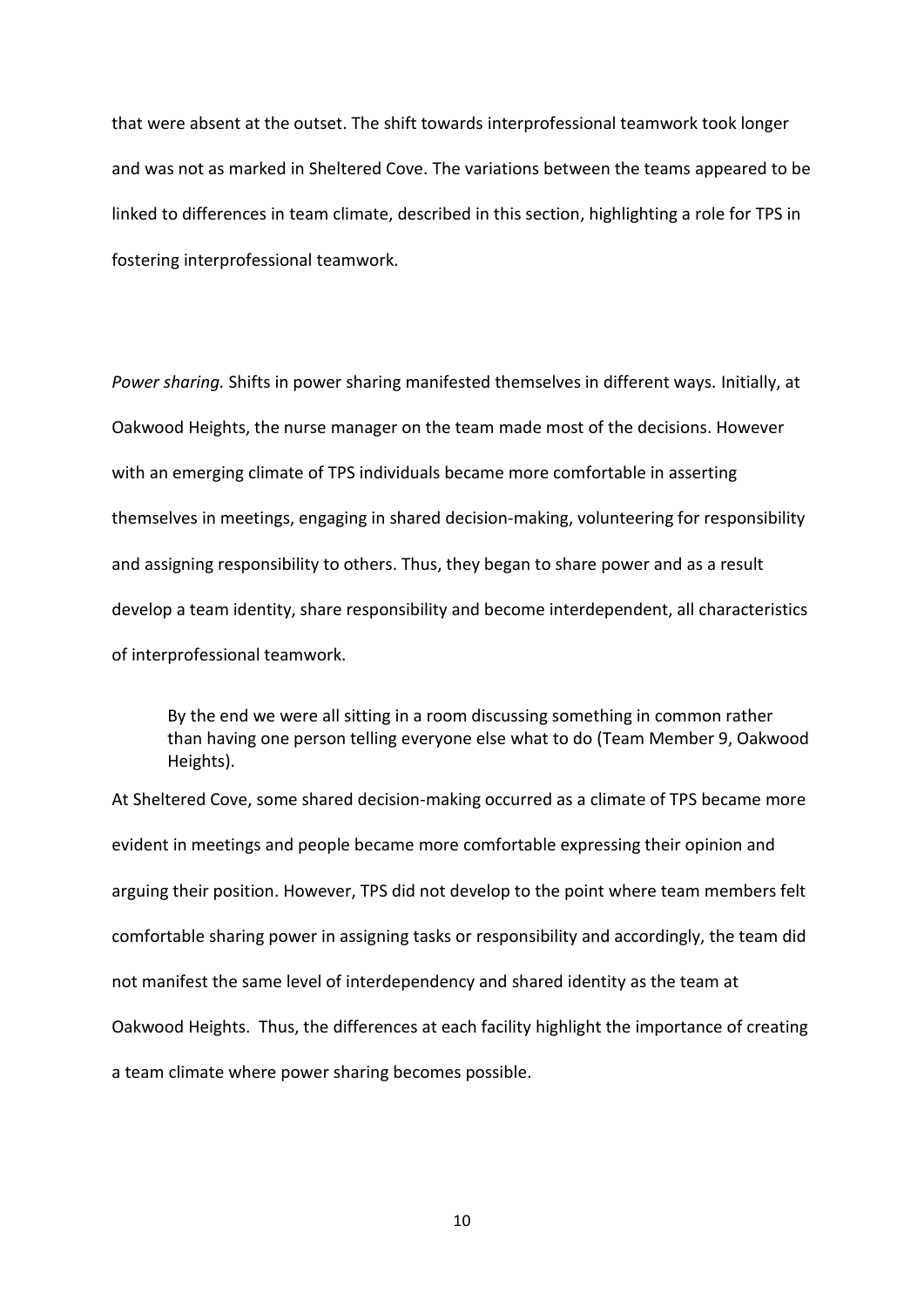that were absent at the outset. The shift towards interprofessional teamwork took longer and was not as marked in Sheltered Cove. The variations between the teams appeared to be linked to differences in team climate, described in this section, highlighting a role for TPS in fostering interprofessional teamwork.

*Power sharing.* Shifts in power sharing manifested themselves in different ways. Initially, at Oakwood Heights, the nurse manager on the team made most of the decisions. However with an emerging climate of TPS individuals became more comfortable in asserting themselves in meetings, engaging in shared decision-making, volunteering for responsibility and assigning responsibility to others. Thus, they began to share power and as a result develop a team identity, share responsibility and become interdependent, all characteristics of interprofessional teamwork.

By the end we were all sitting in a room discussing something in common rather than having one person telling everyone else what to do (Team Member 9, Oakwood Heights).

At Sheltered Cove, some shared decision-making occurred as a climate of TPS became more evident in meetings and people became more comfortable expressing their opinion and arguing their position. However, TPS did not develop to the point where team members felt comfortable sharing power in assigning tasks or responsibility and accordingly, the team did not manifest the same level of interdependency and shared identity as the team at Oakwood Heights. Thus, the differences at each facility highlight the importance of creating a team climate where power sharing becomes possible.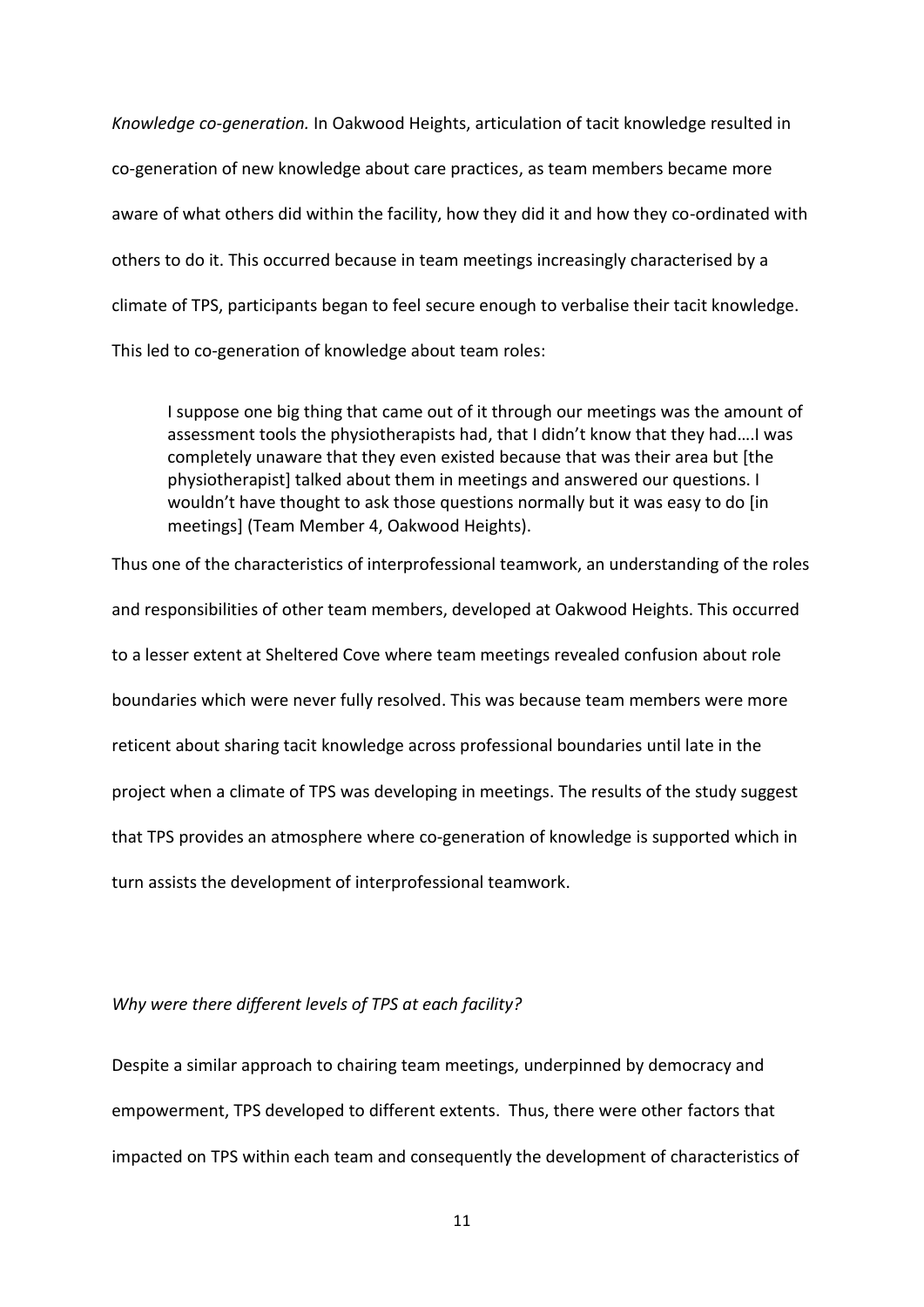*Knowledge co-generation.* In Oakwood Heights, articulation of tacit knowledge resulted in co-generation of new knowledge about care practices, as team members became more aware of what others did within the facility, how they did it and how they co-ordinated with others to do it. This occurred because in team meetings increasingly characterised by a climate of TPS, participants began to feel secure enough to verbalise their tacit knowledge. This led to co-generation of knowledge about team roles:

I suppose one big thing that came out of it through our meetings was the amount of assessment tools the physiotherapists had, that I didn't know that they had….I was completely unaware that they even existed because that was their area but [the physiotherapist] talked about them in meetings and answered our questions. I wouldn't have thought to ask those questions normally but it was easy to do [in meetings] (Team Member 4, Oakwood Heights).

Thus one of the characteristics of interprofessional teamwork, an understanding of the roles and responsibilities of other team members, developed at Oakwood Heights. This occurred to a lesser extent at Sheltered Cove where team meetings revealed confusion about role boundaries which were never fully resolved. This was because team members were more reticent about sharing tacit knowledge across professional boundaries until late in the project when a climate of TPS was developing in meetings. The results of the study suggest that TPS provides an atmosphere where co-generation of knowledge is supported which in turn assists the development of interprofessional teamwork.

# *Why were there different levels of TPS at each facility?*

Despite a similar approach to chairing team meetings, underpinned by democracy and empowerment, TPS developed to different extents. Thus, there were other factors that impacted on TPS within each team and consequently the development of characteristics of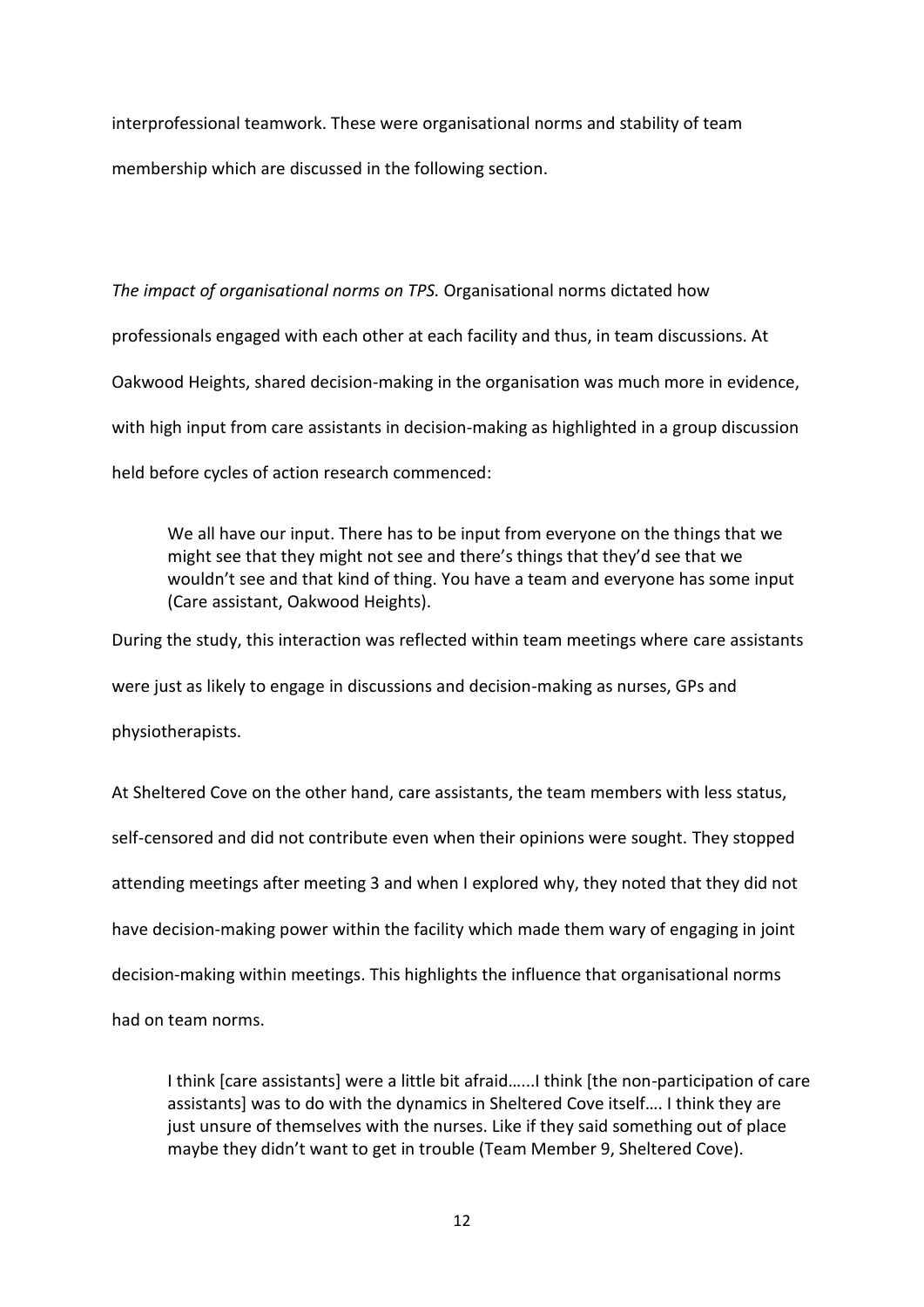interprofessional teamwork. These were organisational norms and stability of team membership which are discussed in the following section.

*The impact of organisational norms on TPS.* Organisational norms dictated how professionals engaged with each other at each facility and thus, in team discussions. At Oakwood Heights, shared decision-making in the organisation was much more in evidence, with high input from care assistants in decision-making as highlighted in a group discussion held before cycles of action research commenced:

We all have our input. There has to be input from everyone on the things that we might see that they might not see and there's things that they'd see that we wouldn't see and that kind of thing. You have a team and everyone has some input (Care assistant, Oakwood Heights).

During the study, this interaction was reflected within team meetings where care assistants were just as likely to engage in discussions and decision-making as nurses, GPs and

physiotherapists.

At Sheltered Cove on the other hand, care assistants, the team members with less status, self-censored and did not contribute even when their opinions were sought. They stopped attending meetings after meeting 3 and when I explored why, they noted that they did not have decision-making power within the facility which made them wary of engaging in joint decision-making within meetings. This highlights the influence that organisational norms had on team norms.

I think [care assistants] were a little bit afraid…...I think [the non-participation of care assistants] was to do with the dynamics in Sheltered Cove itself…. I think they are just unsure of themselves with the nurses. Like if they said something out of place maybe they didn't want to get in trouble (Team Member 9, Sheltered Cove).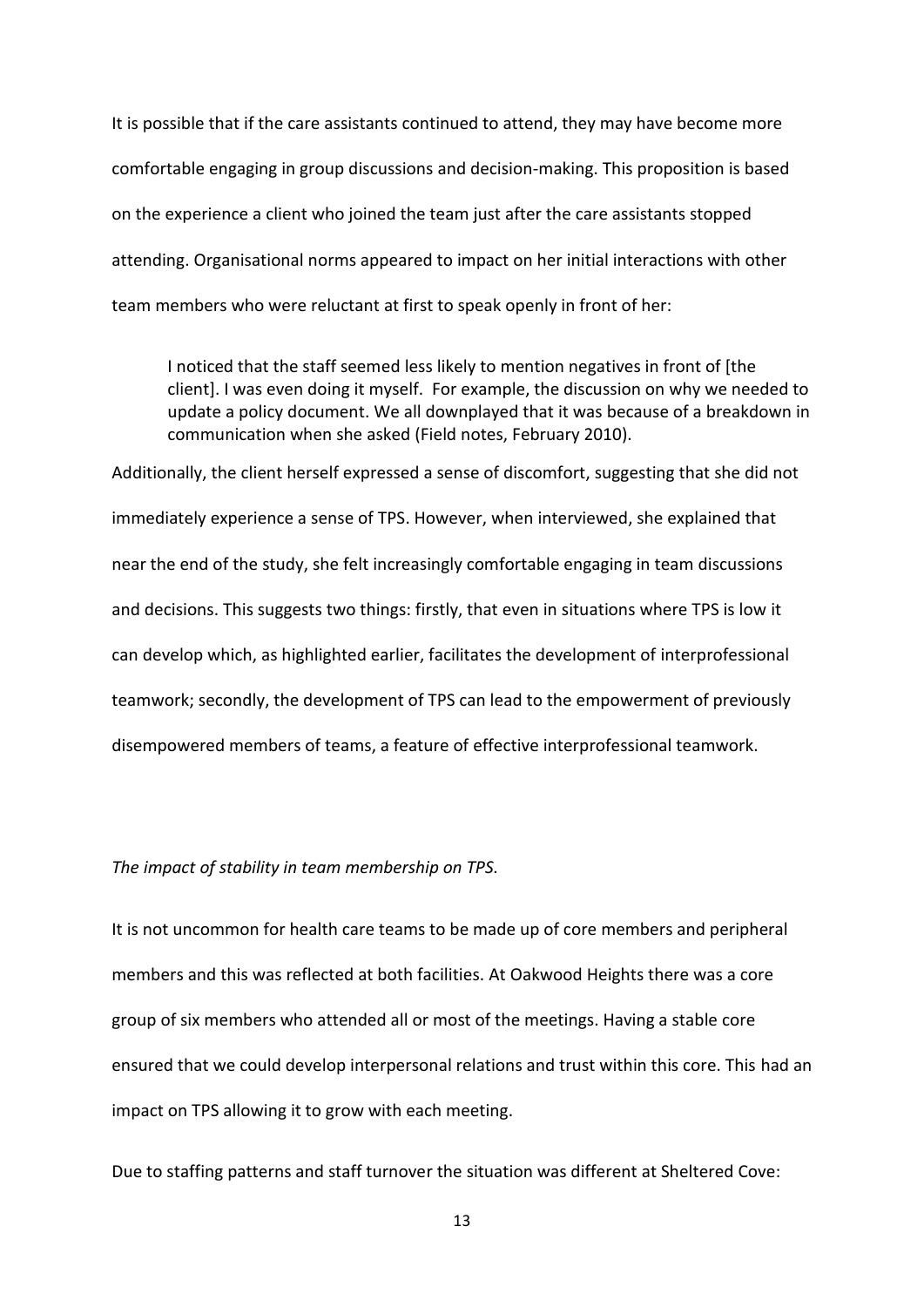It is possible that if the care assistants continued to attend, they may have become more comfortable engaging in group discussions and decision-making. This proposition is based on the experience a client who joined the team just after the care assistants stopped attending. Organisational norms appeared to impact on her initial interactions with other team members who were reluctant at first to speak openly in front of her:

I noticed that the staff seemed less likely to mention negatives in front of [the client]. I was even doing it myself. For example, the discussion on why we needed to update a policy document. We all downplayed that it was because of a breakdown in communication when she asked (Field notes, February 2010).

Additionally, the client herself expressed a sense of discomfort, suggesting that she did not immediately experience a sense of TPS. However, when interviewed, she explained that near the end of the study, she felt increasingly comfortable engaging in team discussions and decisions. This suggests two things: firstly, that even in situations where TPS is low it can develop which, as highlighted earlier, facilitates the development of interprofessional teamwork; secondly, the development of TPS can lead to the empowerment of previously disempowered members of teams, a feature of effective interprofessional teamwork.

### *The impact of stability in team membership on TPS.*

It is not uncommon for health care teams to be made up of core members and peripheral members and this was reflected at both facilities. At Oakwood Heights there was a core group of six members who attended all or most of the meetings. Having a stable core ensured that we could develop interpersonal relations and trust within this core. This had an impact on TPS allowing it to grow with each meeting.

Due to staffing patterns and staff turnover the situation was different at Sheltered Cove: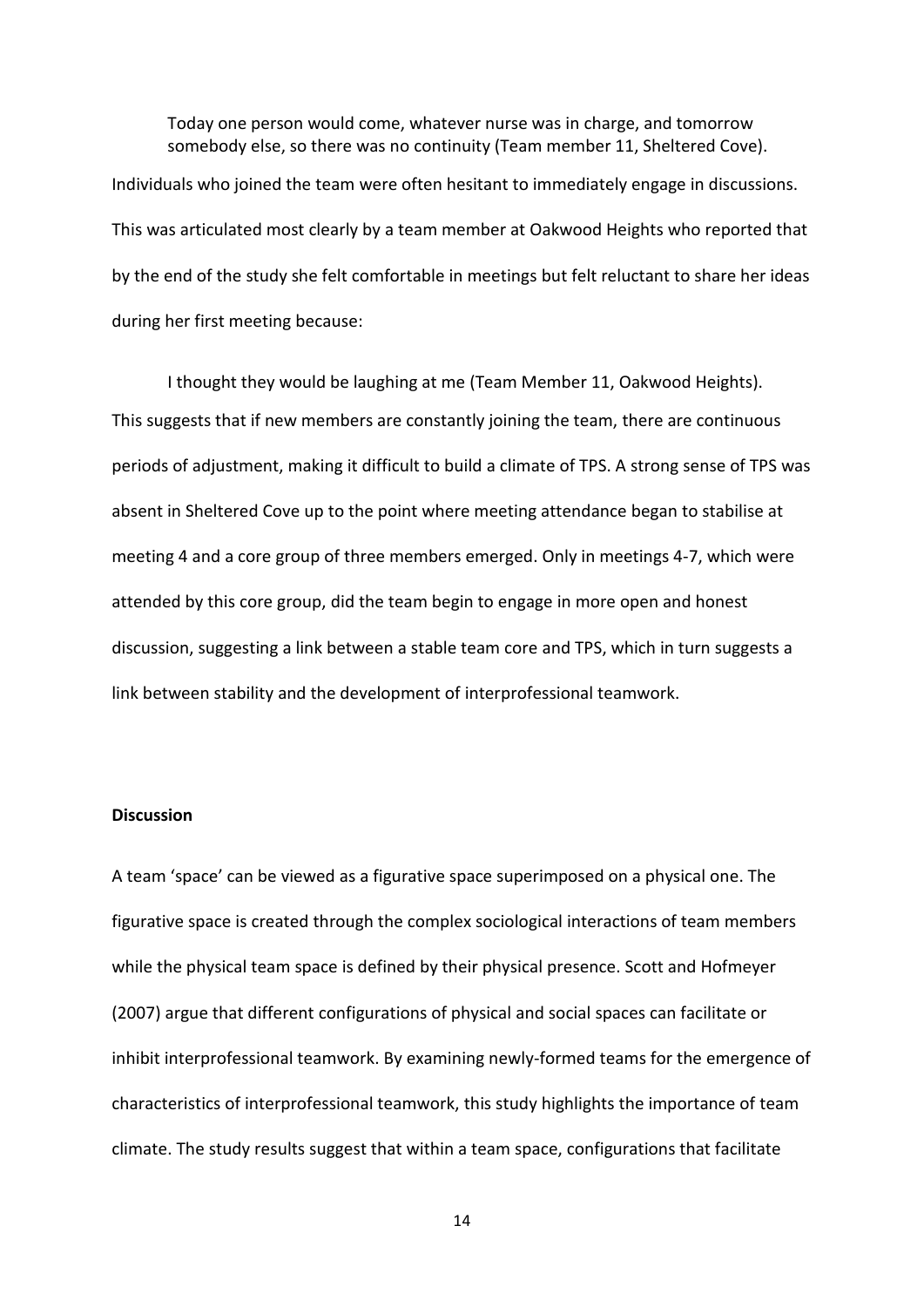Today one person would come, whatever nurse was in charge, and tomorrow somebody else, so there was no continuity (Team member 11, Sheltered Cove). Individuals who joined the team were often hesitant to immediately engage in discussions. This was articulated most clearly by a team member at Oakwood Heights who reported that by the end of the study she felt comfortable in meetings but felt reluctant to share her ideas during her first meeting because:

I thought they would be laughing at me (Team Member 11, Oakwood Heights). This suggests that if new members are constantly joining the team, there are continuous periods of adjustment, making it difficult to build a climate of TPS. A strong sense of TPS was absent in Sheltered Cove up to the point where meeting attendance began to stabilise at meeting 4 and a core group of three members emerged. Only in meetings 4-7, which were attended by this core group, did the team begin to engage in more open and honest discussion, suggesting a link between a stable team core and TPS, which in turn suggests a link between stability and the development of interprofessional teamwork.

# **Discussion**

A team 'space' can be viewed as a figurative space superimposed on a physical one. The figurative space is created through the complex sociological interactions of team members while the physical team space is defined by their physical presence. Scott and Hofmeyer (2007) argue that different configurations of physical and social spaces can facilitate or inhibit interprofessional teamwork. By examining newly-formed teams for the emergence of characteristics of interprofessional teamwork, this study highlights the importance of team climate. The study results suggest that within a team space, configurations that facilitate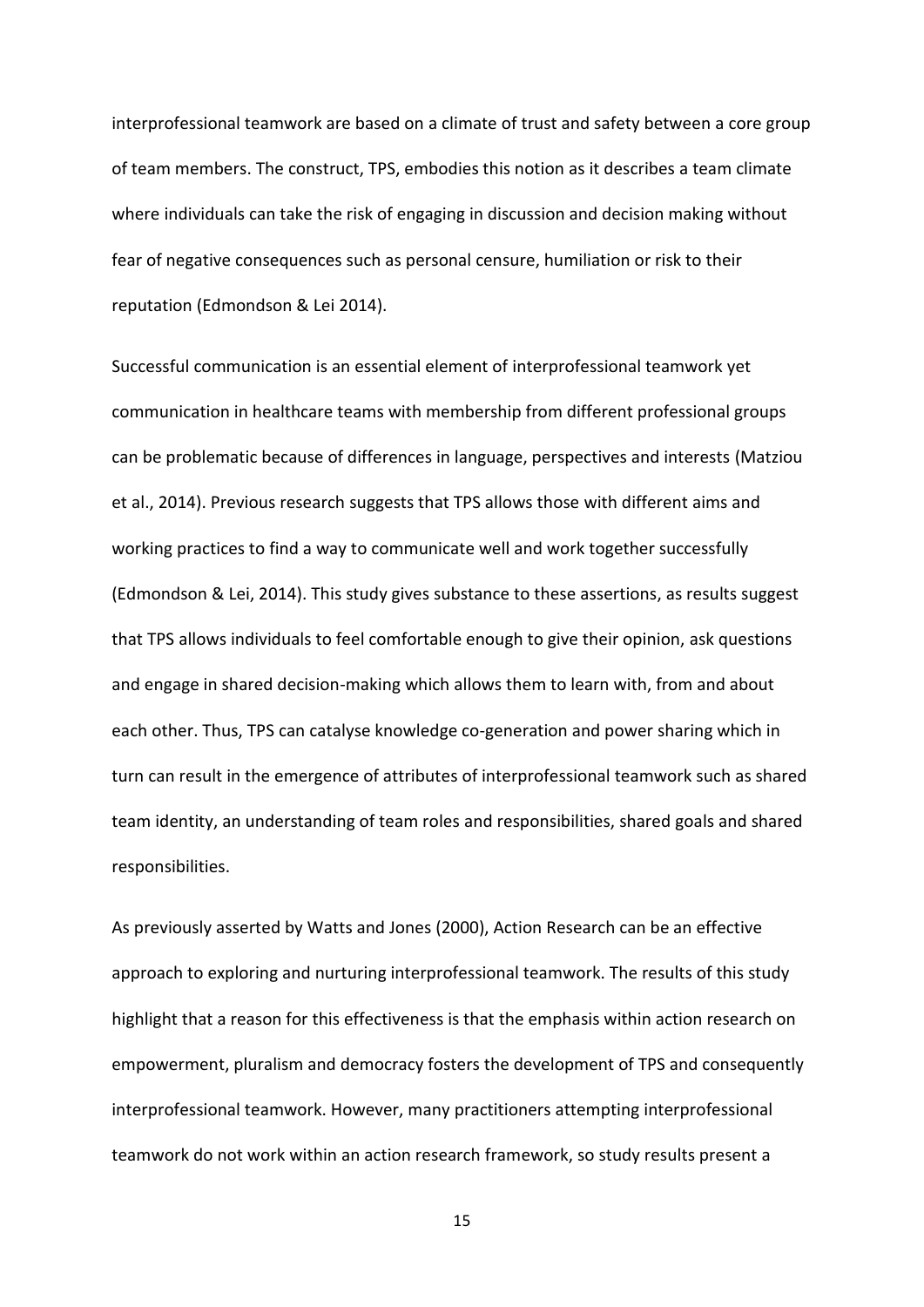interprofessional teamwork are based on a climate of trust and safety between a core group of team members. The construct, TPS, embodies this notion as it describes a team climate where individuals can take the risk of engaging in discussion and decision making without fear of negative consequences such as personal censure, humiliation or risk to their reputation (Edmondson & Lei 2014).

Successful communication is an essential element of interprofessional teamwork yet communication in healthcare teams with membership from different professional groups can be problematic because of differences in language, perspectives and interests (Matziou et al., 2014). Previous research suggests that TPS allows those with different aims and working practices to find a way to communicate well and work together successfully (Edmondson & Lei, 2014). This study gives substance to these assertions, as results suggest that TPS allows individuals to feel comfortable enough to give their opinion, ask questions and engage in shared decision-making which allows them to learn with, from and about each other. Thus, TPS can catalyse knowledge co-generation and power sharing which in turn can result in the emergence of attributes of interprofessional teamwork such as shared team identity, an understanding of team roles and responsibilities, shared goals and shared responsibilities.

As previously asserted by Watts and Jones (2000), Action Research can be an effective approach to exploring and nurturing interprofessional teamwork. The results of this study highlight that a reason for this effectiveness is that the emphasis within action research on empowerment, pluralism and democracy fosters the development of TPS and consequently interprofessional teamwork. However, many practitioners attempting interprofessional teamwork do not work within an action research framework, so study results present a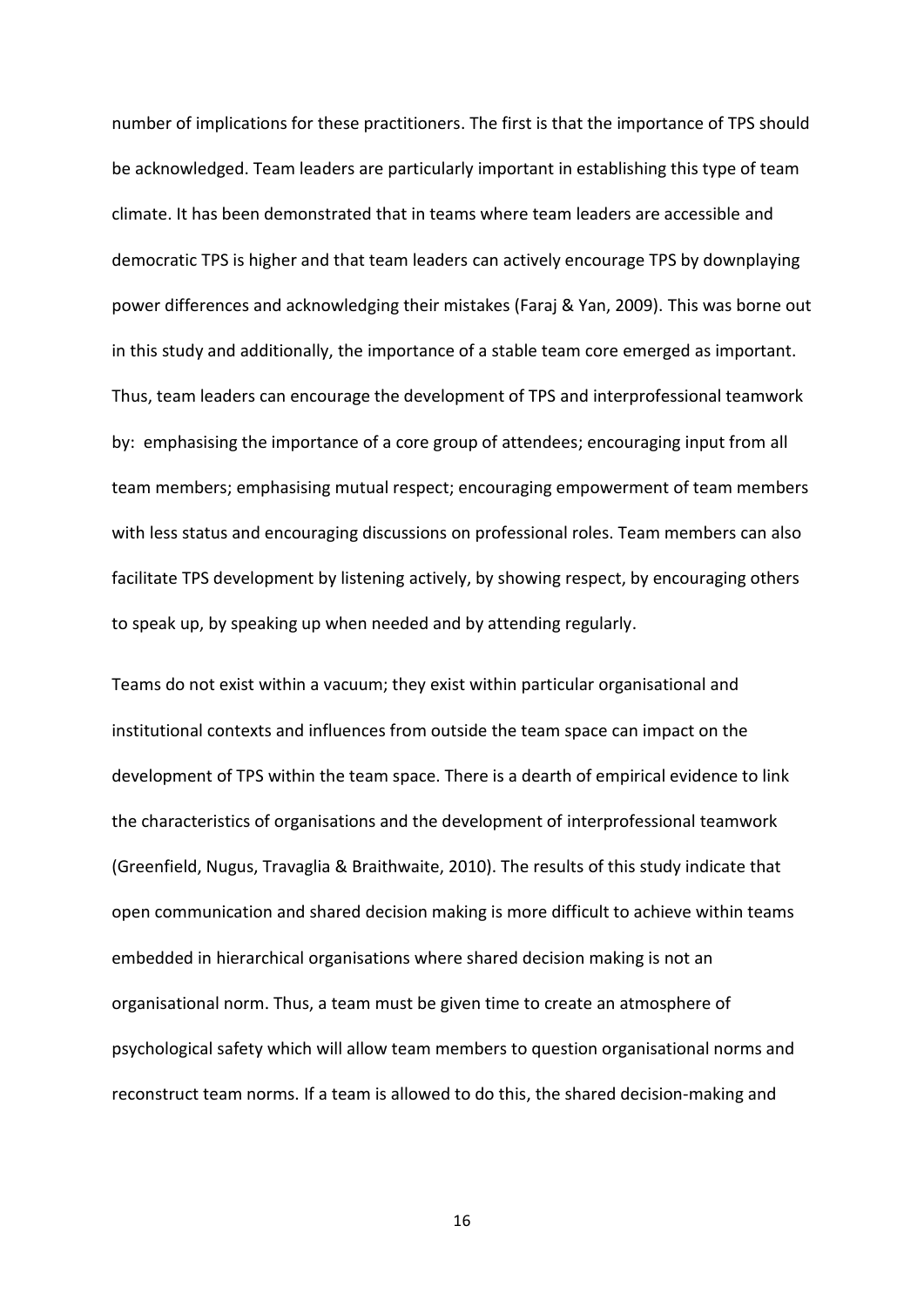number of implications for these practitioners. The first is that the importance of TPS should be acknowledged. Team leaders are particularly important in establishing this type of team climate. It has been demonstrated that in teams where team leaders are accessible and democratic TPS is higher and that team leaders can actively encourage TPS by downplaying power differences and acknowledging their mistakes (Faraj & Yan, 2009). This was borne out in this study and additionally, the importance of a stable team core emerged as important. Thus, team leaders can encourage the development of TPS and interprofessional teamwork by: emphasising the importance of a core group of attendees; encouraging input from all team members; emphasising mutual respect; encouraging empowerment of team members with less status and encouraging discussions on professional roles. Team members can also facilitate TPS development by listening actively, by showing respect, by encouraging others to speak up, by speaking up when needed and by attending regularly.

Teams do not exist within a vacuum; they exist within particular organisational and institutional contexts and influences from outside the team space can impact on the development of TPS within the team space. There is a dearth of empirical evidence to link the characteristics of organisations and the development of interprofessional teamwork (Greenfield, Nugus, Travaglia & Braithwaite, 2010). The results of this study indicate that open communication and shared decision making is more difficult to achieve within teams embedded in hierarchical organisations where shared decision making is not an organisational norm. Thus, a team must be given time to create an atmosphere of psychological safety which will allow team members to question organisational norms and reconstruct team norms. If a team is allowed to do this, the shared decision-making and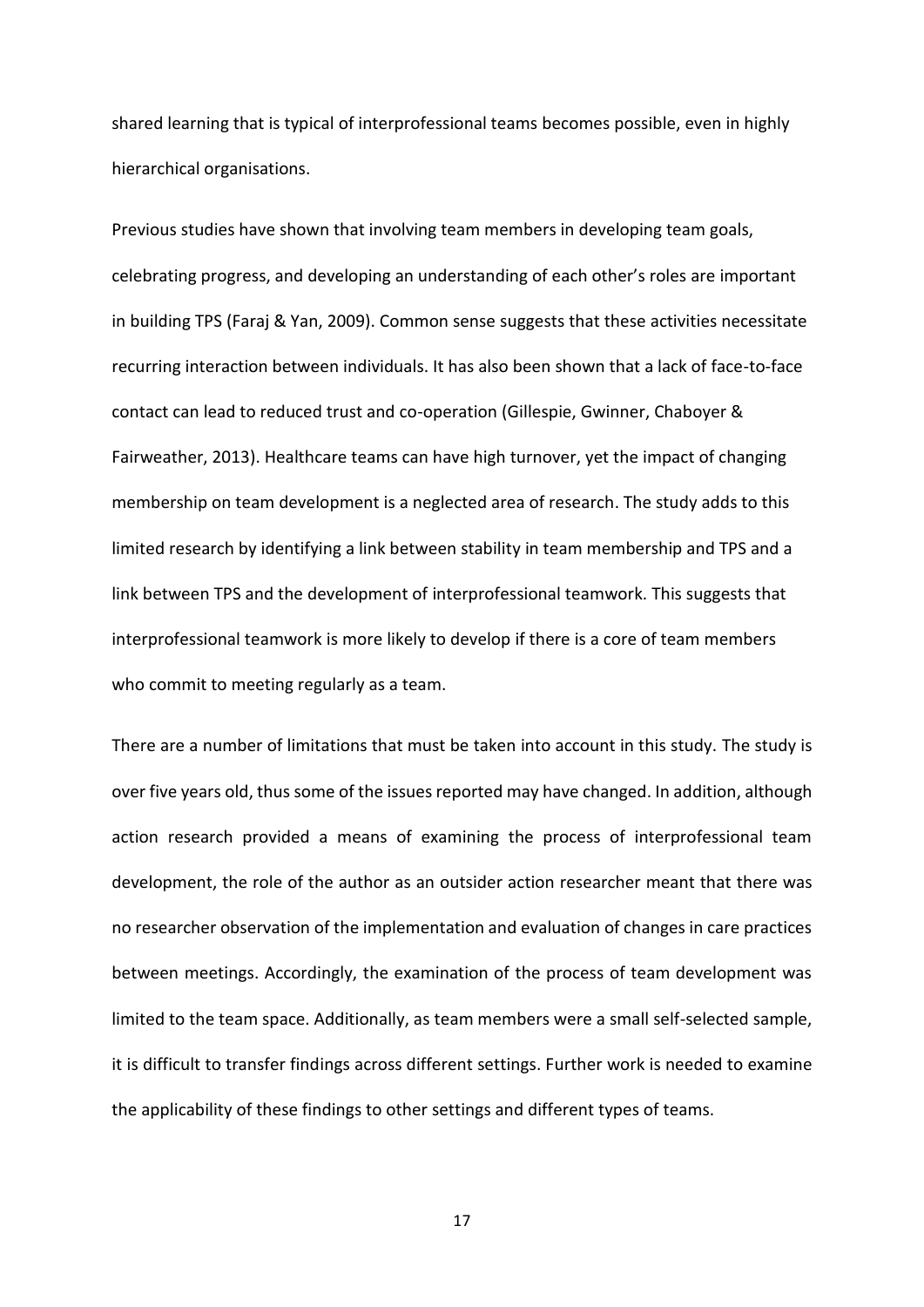shared learning that is typical of interprofessional teams becomes possible, even in highly hierarchical organisations.

Previous studies have shown that involving team members in developing team goals, celebrating progress, and developing an understanding of each other's roles are important in building TPS (Faraj & Yan, 2009). Common sense suggests that these activities necessitate recurring interaction between individuals. It has also been shown that a lack of face-to-face contact can lead to reduced trust and co-operation (Gillespie, Gwinner, Chaboyer & Fairweather, 2013). Healthcare teams can have high turnover, yet the impact of changing membership on team development is a neglected area of research. The study adds to this limited research by identifying a link between stability in team membership and TPS and a link between TPS and the development of interprofessional teamwork. This suggests that interprofessional teamwork is more likely to develop if there is a core of team members who commit to meeting regularly as a team.

There are a number of limitations that must be taken into account in this study. The study is over five years old, thus some of the issues reported may have changed. In addition, although action research provided a means of examining the process of interprofessional team development, the role of the author as an outsider action researcher meant that there was no researcher observation of the implementation and evaluation of changes in care practices between meetings. Accordingly, the examination of the process of team development was limited to the team space. Additionally, as team members were a small self-selected sample, it is difficult to transfer findings across different settings. Further work is needed to examine the applicability of these findings to other settings and different types of teams.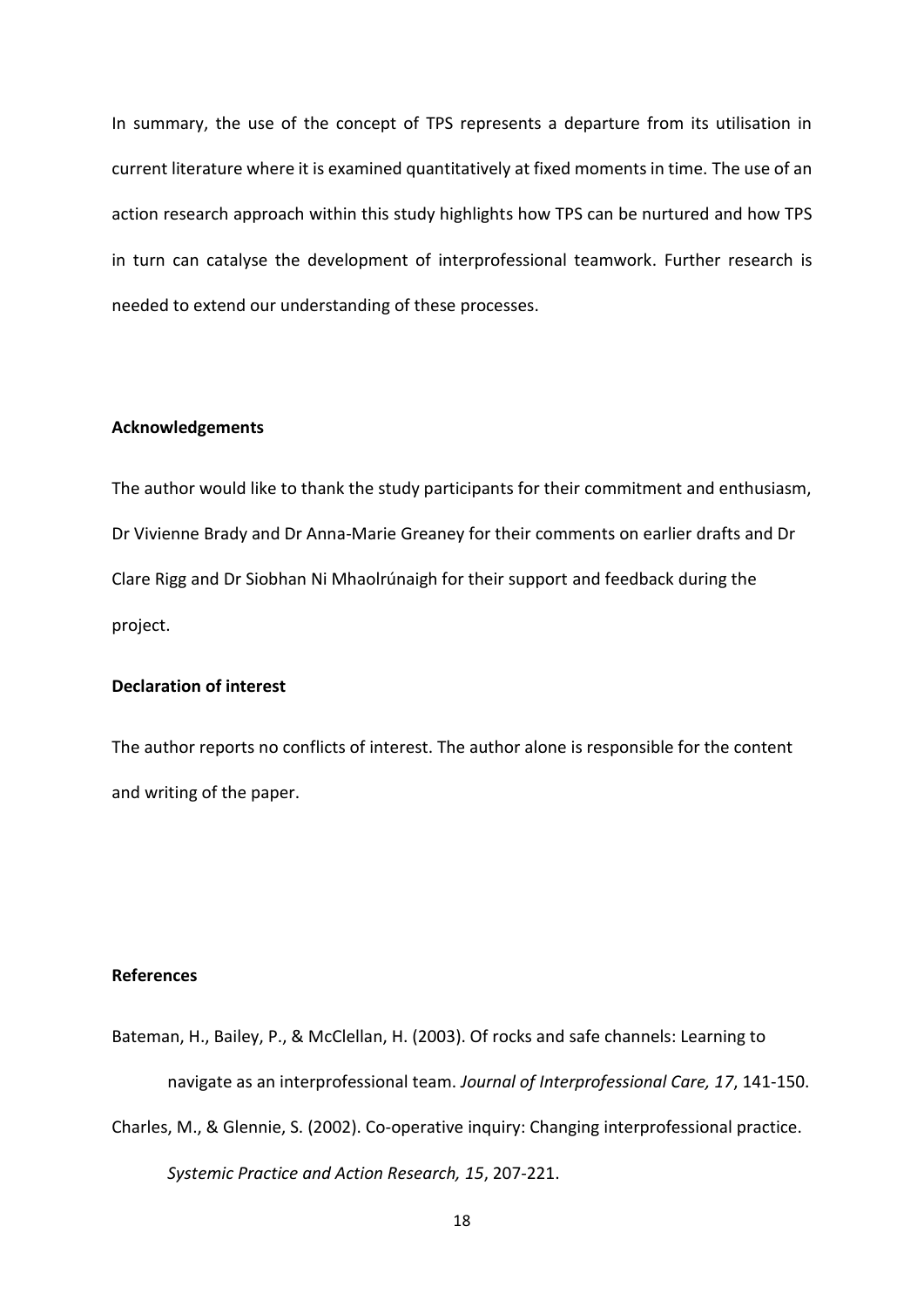In summary, the use of the concept of TPS represents a departure from its utilisation in current literature where it is examined quantitatively at fixed moments in time. The use of an action research approach within this study highlights how TPS can be nurtured and how TPS in turn can catalyse the development of interprofessional teamwork. Further research is needed to extend our understanding of these processes.

# **Acknowledgements**

The author would like to thank the study participants for their commitment and enthusiasm, Dr Vivienne Brady and Dr Anna-Marie Greaney for their comments on earlier drafts and Dr Clare Rigg and Dr Siobhan Ni Mhaolrúnaigh for their support and feedback during the project.

# **Declaration of interest**

The author reports no conflicts of interest. The author alone is responsible for the content and writing of the paper.

# **References**

Bateman, H., Bailey, P., & McClellan, H. (2003). Of rocks and safe channels: Learning to navigate as an interprofessional team. *Journal of Interprofessional Care, 17*, 141-150. Charles, M., & Glennie, S. (2002). Co-operative inquiry: Changing interprofessional practice.

*Systemic Practice and Action Research, 15*, 207-221.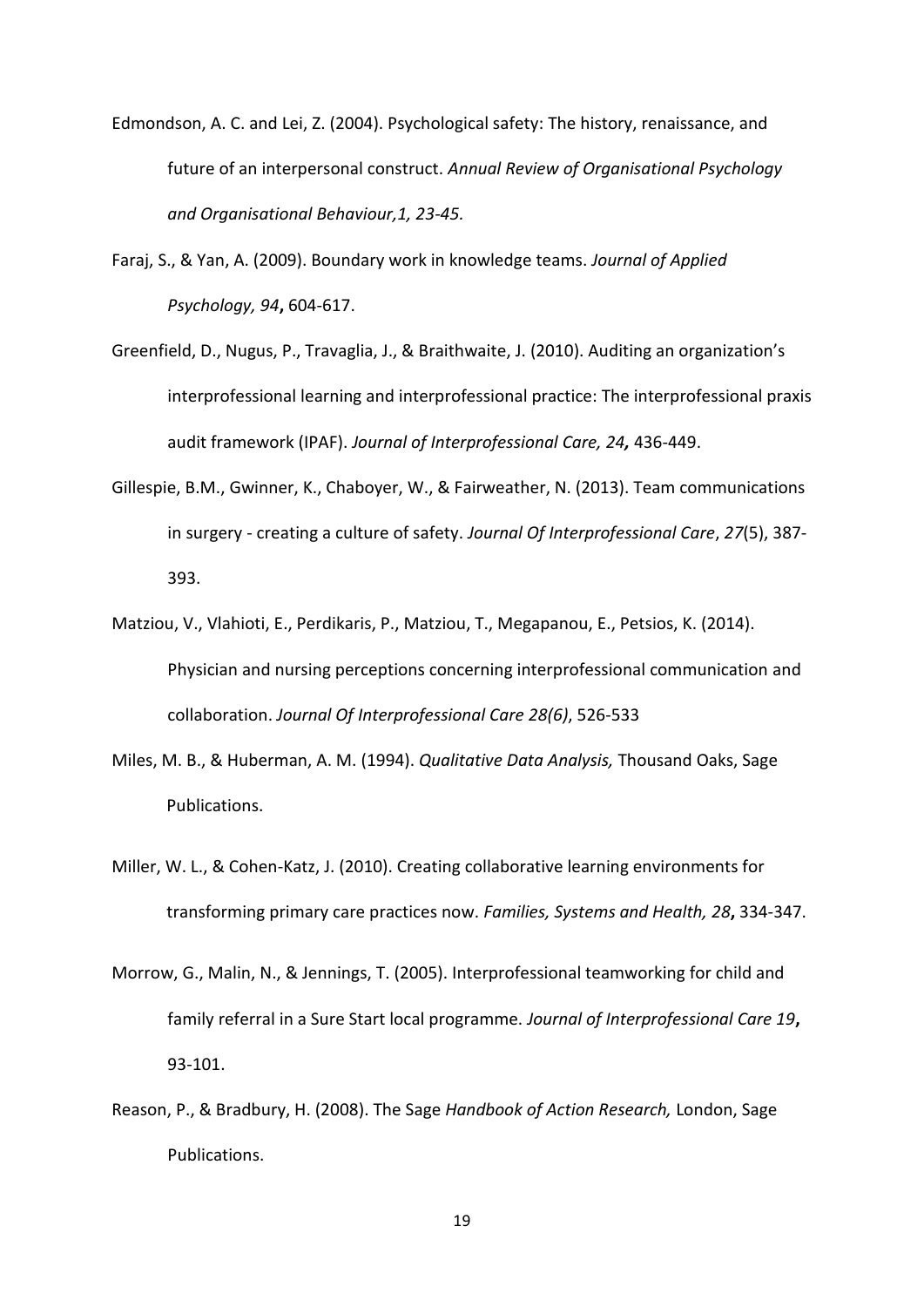- Edmondson, A. C. and Lei, Z. (2004). Psychological safety: The history, renaissance, and future of an interpersonal construct. *Annual Review of Organisational Psychology and Organisational Behaviour,1, 23-45.*
- Faraj, S., & Yan, A. (2009). Boundary work in knowledge teams. *Journal of Applied Psychology, 94***,** 604-617.
- Greenfield, D., Nugus, P., Travaglia, J., & Braithwaite, J. (2010). Auditing an organization's interprofessional learning and interprofessional practice: The interprofessional praxis audit framework (IPAF). *Journal of Interprofessional Care, 24,* 436-449.
- Gillespie, B.M., Gwinner, K., Chaboyer, W., & Fairweather, N. (2013). Team communications in surgery - creating a culture of safety. *Journal Of Interprofessional Care*, *27*(5), 387- 393.
- Matziou, V., Vlahioti, E., Perdikaris, P., Matziou, T., Megapanou, E., Petsios, K. (2014). Physician and nursing perceptions concerning interprofessional communication and collaboration. *Journal Of Interprofessional Care 28(6)*, 526-533
- Miles, M. B., & Huberman, A. M. (1994). *Qualitative Data Analysis,* Thousand Oaks, Sage Publications.
- Miller, W. L., & Cohen-Katz, J. (2010). Creating collaborative learning environments for transforming primary care practices now. *Families, Systems and Health, 28***,** 334-347.
- Morrow, G., Malin, N., & Jennings, T. (2005). Interprofessional teamworking for child and family referral in a Sure Start local programme. *Journal of Interprofessional Care 19***,** 93-101.
- Reason, P., & Bradbury, H. (2008). The Sage *Handbook of Action Research,* London, Sage Publications.